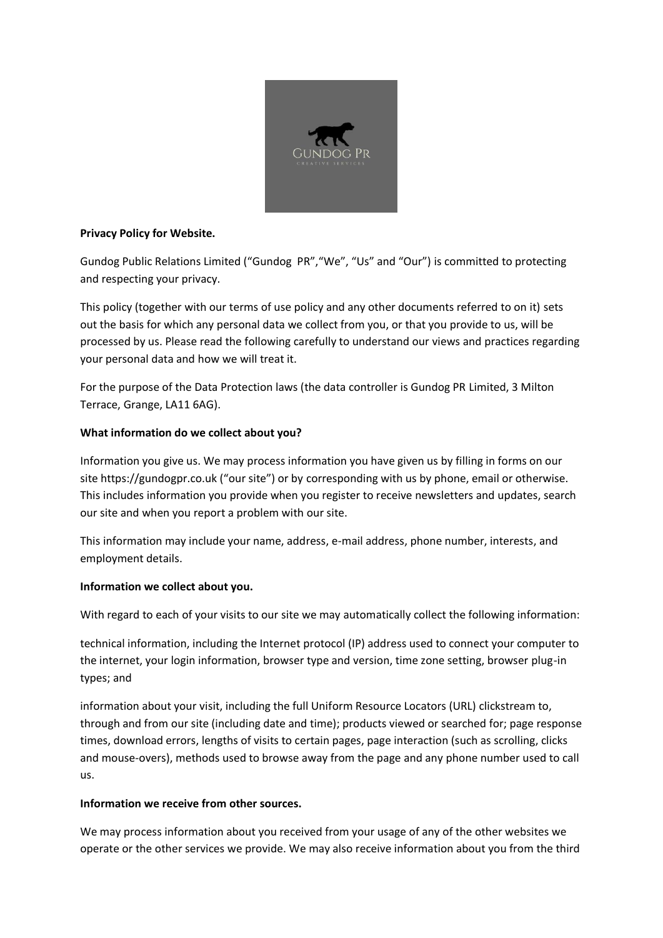

## **Privacy Policy for Website.**

Gundog Public Relations Limited ("Gundog PR","We", "Us" and "Our") is committed to protecting and respecting your privacy.

This policy (together with our terms of use policy and any other documents referred to on it) sets out the basis for which any personal data we collect from you, or that you provide to us, will be processed by us. Please read the following carefully to understand our views and practices regarding your personal data and how we will treat it.

For the purpose of the Data Protection laws (the data controller is Gundog PR Limited, 3 Milton Terrace, Grange, LA11 6AG).

# **What information do we collect about you?**

Information you give us. We may process information you have given us by filling in forms on our site https://gundogpr.co.uk ("our site") or by corresponding with us by phone, email or otherwise. This includes information you provide when you register to receive newsletters and updates, search our site and when you report a problem with our site.

This information may include your name, address, e-mail address, phone number, interests, and employment details.

### **Information we collect about you.**

With regard to each of your visits to our site we may automatically collect the following information:

technical information, including the Internet protocol (IP) address used to connect your computer to the internet, your login information, browser type and version, time zone setting, browser plug-in types; and

information about your visit, including the full Uniform Resource Locators (URL) clickstream to, through and from our site (including date and time); products viewed or searched for; page response times, download errors, lengths of visits to certain pages, page interaction (such as scrolling, clicks and mouse-overs), methods used to browse away from the page and any phone number used to call us.

### **Information we receive from other sources.**

We may process information about you received from your usage of any of the other websites we operate or the other services we provide. We may also receive information about you from the third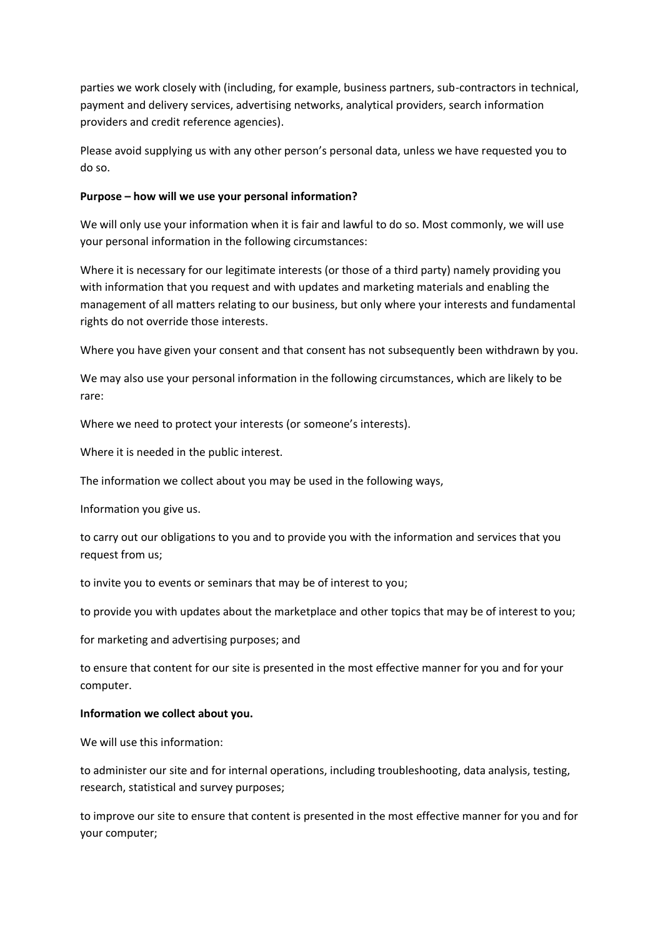parties we work closely with (including, for example, business partners, sub-contractors in technical, payment and delivery services, advertising networks, analytical providers, search information providers and credit reference agencies).

Please avoid supplying us with any other person's personal data, unless we have requested you to do so.

### **Purpose – how will we use your personal information?**

We will only use your information when it is fair and lawful to do so. Most commonly, we will use your personal information in the following circumstances:

Where it is necessary for our legitimate interests (or those of a third party) namely providing you with information that you request and with updates and marketing materials and enabling the management of all matters relating to our business, but only where your interests and fundamental rights do not override those interests.

Where you have given your consent and that consent has not subsequently been withdrawn by you.

We may also use your personal information in the following circumstances, which are likely to be rare:

Where we need to protect your interests (or someone's interests).

Where it is needed in the public interest.

The information we collect about you may be used in the following ways,

Information you give us.

to carry out our obligations to you and to provide you with the information and services that you request from us;

to invite you to events or seminars that may be of interest to you;

to provide you with updates about the marketplace and other topics that may be of interest to you;

for marketing and advertising purposes; and

to ensure that content for our site is presented in the most effective manner for you and for your computer.

### **Information we collect about you.**

We will use this information:

to administer our site and for internal operations, including troubleshooting, data analysis, testing, research, statistical and survey purposes;

to improve our site to ensure that content is presented in the most effective manner for you and for your computer;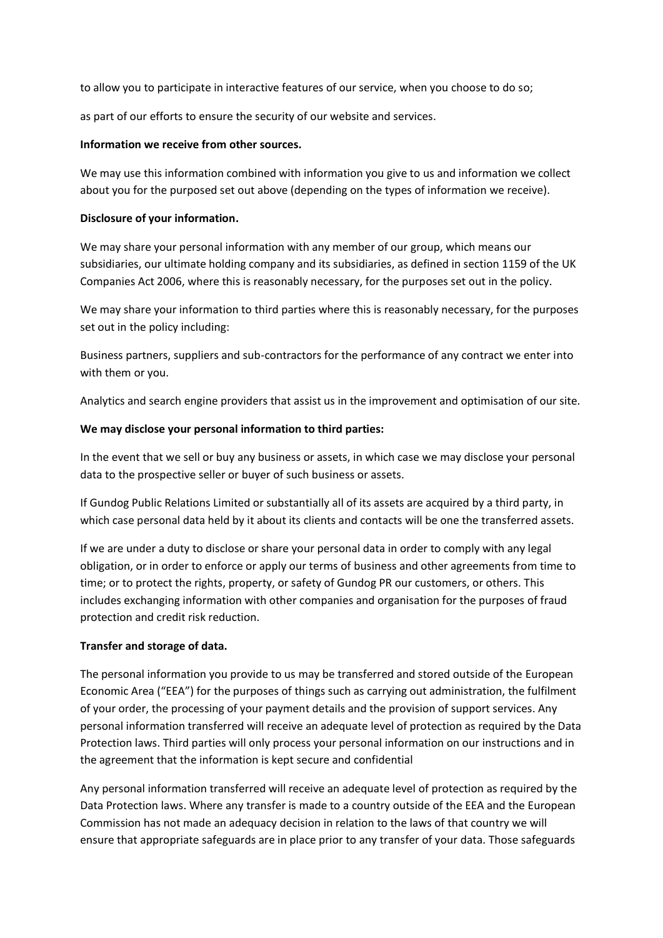to allow you to participate in interactive features of our service, when you choose to do so;

as part of our efforts to ensure the security of our website and services.

### **Information we receive from other sources.**

We may use this information combined with information you give to us and information we collect about you for the purposed set out above (depending on the types of information we receive).

## **Disclosure of your information.**

We may share your personal information with any member of our group, which means our subsidiaries, our ultimate holding company and its subsidiaries, as defined in section 1159 of the UK Companies Act 2006, where this is reasonably necessary, for the purposes set out in the policy.

We may share your information to third parties where this is reasonably necessary, for the purposes set out in the policy including:

Business partners, suppliers and sub-contractors for the performance of any contract we enter into with them or you.

Analytics and search engine providers that assist us in the improvement and optimisation of our site.

## **We may disclose your personal information to third parties:**

In the event that we sell or buy any business or assets, in which case we may disclose your personal data to the prospective seller or buyer of such business or assets.

If Gundog Public Relations Limited or substantially all of its assets are acquired by a third party, in which case personal data held by it about its clients and contacts will be one the transferred assets.

If we are under a duty to disclose or share your personal data in order to comply with any legal obligation, or in order to enforce or apply our terms of business and other agreements from time to time; or to protect the rights, property, or safety of Gundog PR our customers, or others. This includes exchanging information with other companies and organisation for the purposes of fraud protection and credit risk reduction.

# **Transfer and storage of data.**

The personal information you provide to us may be transferred and stored outside of the European Economic Area ("EEA") for the purposes of things such as carrying out administration, the fulfilment of your order, the processing of your payment details and the provision of support services. Any personal information transferred will receive an adequate level of protection as required by the Data Protection laws. Third parties will only process your personal information on our instructions and in the agreement that the information is kept secure and confidential

Any personal information transferred will receive an adequate level of protection as required by the Data Protection laws. Where any transfer is made to a country outside of the EEA and the European Commission has not made an adequacy decision in relation to the laws of that country we will ensure that appropriate safeguards are in place prior to any transfer of your data. Those safeguards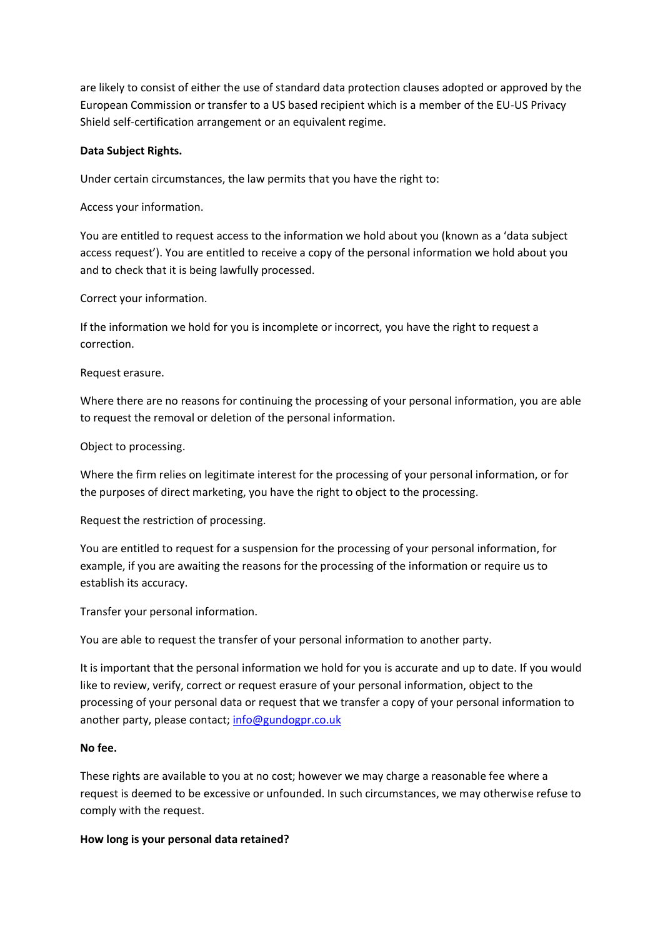are likely to consist of either the use of standard data protection clauses adopted or approved by the European Commission or transfer to a US based recipient which is a member of the EU-US Privacy Shield self-certification arrangement or an equivalent regime.

## **Data Subject Rights.**

Under certain circumstances, the law permits that you have the right to:

Access your information.

You are entitled to request access to the information we hold about you (known as a 'data subject access request'). You are entitled to receive a copy of the personal information we hold about you and to check that it is being lawfully processed.

Correct your information.

If the information we hold for you is incomplete or incorrect, you have the right to request a correction.

Request erasure.

Where there are no reasons for continuing the processing of your personal information, you are able to request the removal or deletion of the personal information.

Object to processing.

Where the firm relies on legitimate interest for the processing of your personal information, or for the purposes of direct marketing, you have the right to object to the processing.

Request the restriction of processing.

You are entitled to request for a suspension for the processing of your personal information, for example, if you are awaiting the reasons for the processing of the information or require us to establish its accuracy.

Transfer your personal information.

You are able to request the transfer of your personal information to another party.

It is important that the personal information we hold for you is accurate and up to date. If you would like to review, verify, correct or request erasure of your personal information, object to the processing of your personal data or request that we transfer a copy of your personal information to another party, please contact; [info@gundogpr.co.uk](mailto:info@gundogpr.co.uk)

### **No fee.**

These rights are available to you at no cost; however we may charge a reasonable fee where a request is deemed to be excessive or unfounded. In such circumstances, we may otherwise refuse to comply with the request.

**How long is your personal data retained?**